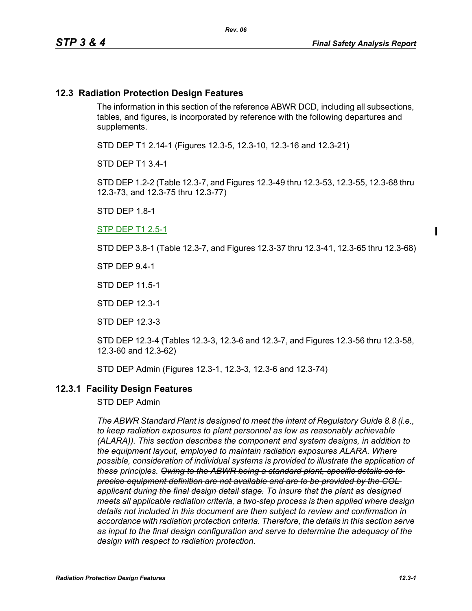#### **12.3 Radiation Protection Design Features**

The information in this section of the reference ABWR DCD, including all subsections, tables, and figures, is incorporated by reference with the following departures and supplements.

STD DEP T1 2.14-1 (Figures 12.3-5, 12.3-10, 12.3-16 and 12.3-21)

STD DEP T1 3.4-1

STD DEP 1.2-2 (Table 12.3-7, and Figures 12.3-49 thru 12.3-53, 12.3-55, 12.3-68 thru 12.3-73, and 12.3-75 thru 12.3-77)

STD DEP 1.8-1

STP DEP T1 2.5-1

STD DEP 3.8-1 (Table 12.3-7, and Figures 12.3-37 thru 12.3-41, 12.3-65 thru 12.3-68)

STP DEP 9.4-1

STD DEP 11.5-1

STD DEP 12.3-1

STD DEP 12.3-3

STD DEP 12.3-4 (Tables 12.3-3, 12.3-6 and 12.3-7, and Figures 12.3-56 thru 12.3-58, 12.3-60 and 12.3-62)

STD DEP Admin (Figures 12.3-1, 12.3-3, 12.3-6 and 12.3-74)

#### **12.3.1 Facility Design Features**

STD DEP Admin

*The ABWR Standard Plant is designed to meet the intent of Regulatory Guide 8.8 (i.e., to keep radiation exposures to plant personnel as low as reasonably achievable (ALARA)). This section describes the component and system designs, in addition to the equipment layout, employed to maintain radiation exposures ALARA. Where possible, consideration of individual systems is provided to illustrate the application of these principles. Owing to the ABWR being a standard plant, specific details as to precise equipment definition are not available and are to be provided by the COL applicant during the final design detail stage. To insure that the plant as designed meets all applicable radiation criteria, a two-step process is then applied where design details not included in this document are then subject to review and confirmation in accordance with radiation protection criteria. Therefore, the details in this section serve as input to the final design configuration and serve to determine the adequacy of the design with respect to radiation protection.*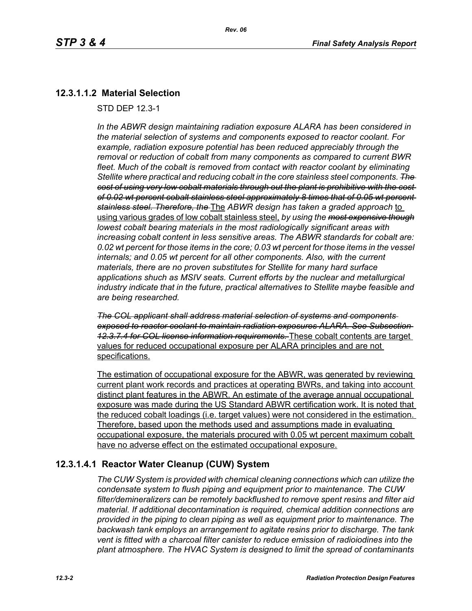## **12.3.1.1.2 Material Selection**

STD DEP 12.3-1

*In the ABWR design maintaining radiation exposure ALARA has been considered in the material selection of systems and components exposed to reactor coolant. For example, radiation exposure potential has been reduced appreciably through the removal or reduction of cobalt from many components as compared to current BWR fleet. Much of the cobalt is removed from contact with reactor coolant by eliminating Stellite where practical and reducing cobalt in the core stainless steel components. The cost of using very low cobalt materials through out the plant is prohibitive with the cost of 0.02 wt percent cobalt stainless steel approximately 8 times that of 0.05 wt percent stainless steel. Therefore, the* The *ABWR design has taken a graded approach* to using various grades of low cobalt stainless steel, *by using the most expensive though lowest cobalt bearing materials in the most radiologically significant areas with increasing cobalt content in less sensitive areas. The ABWR standards for cobalt are: 0.02 wt percent for those items in the core; 0.03 wt percent for those items in the vessel internals; and 0.05 wt percent for all other components. Also, with the current materials, there are no proven substitutes for Stellite for many hard surface applications shuch as MSIV seats. Current efforts by the nuclear and metallurgical industry indicate that in the future, practical alternatives to Stellite maybe feasible and are being researched.*

*The COL applicant shall address material selection of systems and components exposed to reactor coolant to maintain radiation exposures ALARA. See Subsection 12.3.7.4 for COL license information requirements.* These cobalt contents are target values for reduced occupational exposure per ALARA principles and are not specifications.

The estimation of occupational exposure for the ABWR, was generated by reviewing current plant work records and practices at operating BWRs, and taking into account distinct plant features in the ABWR. An estimate of the average annual occupational exposure was made during the US Standard ABWR certification work. It is noted that the reduced cobalt loadings (i.e. target values) were not considered in the estimation. Therefore, based upon the methods used and assumptions made in evaluating occupational exposure, the materials procured with 0.05 wt percent maximum cobalt have no adverse effect on the estimated occupational exposure.

## **12.3.1.4.1 Reactor Water Cleanup (CUW) System**

*The CUW System is provided with chemical cleaning connections which can utilize the condensate system to flush piping and equipment prior to maintenance. The CUW filter/demineralizers can be remotely backflushed to remove spent resins and filter aid material. If additional decontamination is required, chemical addition connections are provided in the piping to clean piping as well as equipment prior to maintenance. The backwash tank employs an arrangement to agitate resins prior to discharge. The tank vent is fitted with a charcoal filter canister to reduce emission of radioiodines into the plant atmosphere. The HVAC System is designed to limit the spread of contaminants*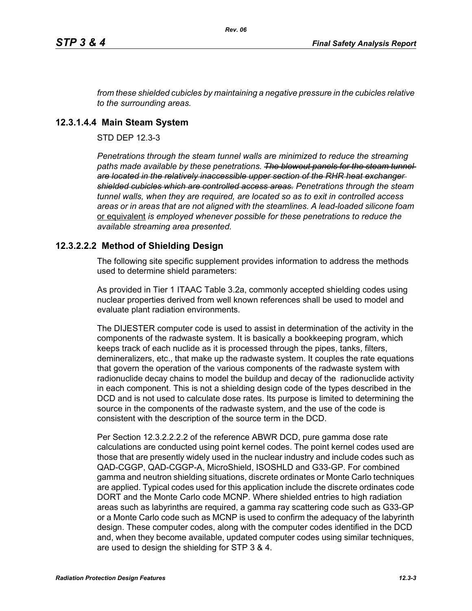*from these shielded cubicles by maintaining a negative pressure in the cubicles relative to the surrounding areas.*

#### **12.3.1.4.4 Main Steam System**

STD DEP 12.3-3

*Penetrations through the steam tunnel walls are minimized to reduce the streaming*  paths made available by these penetrations. The blowout panels for the steam tunnel*are located in the relatively inaccessible upper section of the RHR heat exchanger shielded cubicles which are controlled access areas. Penetrations through the steam tunnel walls, when they are required, are located so as to exit in controlled access areas or in areas that are not aligned with the steamlines. A lead-loaded silicone foam*  or equivalent *is employed whenever possible for these penetrations to reduce the available streaming area presented.*

## **12.3.2.2.2 Method of Shielding Design**

The following site specific supplement provides information to address the methods used to determine shield parameters:

As provided in Tier 1 ITAAC Table 3.2a, commonly accepted shielding codes using nuclear properties derived from well known references shall be used to model and evaluate plant radiation environments.

The DIJESTER computer code is used to assist in determination of the activity in the components of the radwaste system. It is basically a bookkeeping program, which keeps track of each nuclide as it is processed through the pipes, tanks, filters, demineralizers, etc., that make up the radwaste system. It couples the rate equations that govern the operation of the various components of the radwaste system with radionuclide decay chains to model the buildup and decay of the radionuclide activity in each component. This is not a shielding design code of the types described in the DCD and is not used to calculate dose rates. Its purpose is limited to determining the source in the components of the radwaste system, and the use of the code is consistent with the description of the source term in the DCD.

Per Section 12.3.2.2.2.2 of the reference ABWR DCD, pure gamma dose rate calculations are conducted using point kernel codes. The point kernel codes used are those that are presently widely used in the nuclear industry and include codes such as QAD-CGGP, QAD-CGGP-A, MicroShield, ISOSHLD and G33-GP. For combined gamma and neutron shielding situations, discrete ordinates or Monte Carlo techniques are applied. Typical codes used for this application include the discrete ordinates code DORT and the Monte Carlo code MCNP. Where shielded entries to high radiation areas such as labyrinths are required, a gamma ray scattering code such as G33-GP or a Monte Carlo code such as MCNP is used to confirm the adequacy of the labyrinth design. These computer codes, along with the computer codes identified in the DCD and, when they become available, updated computer codes using similar techniques, are used to design the shielding for STP 3 & 4.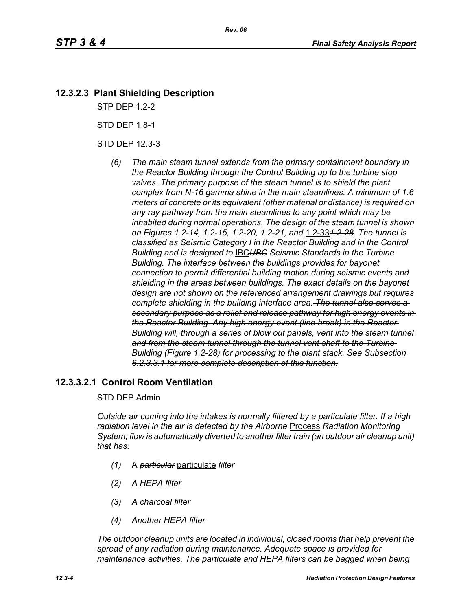## **12.3.2.3 Plant Shielding Description**

STP DEP 1.2-2

STD DEP 1.8-1

STD DEP 12.3-3

*(6) The main steam tunnel extends from the primary containment boundary in the Reactor Building through the Control Building up to the turbine stop valves. The primary purpose of the steam tunnel is to shield the plant complex from N-16 gamma shine in the main steamlines. A minimum of 1.6 meters of concrete or its equivalent (other material or distance) is required on any ray pathway from the main steamlines to any point which may be inhabited during normal operations. The design of the steam tunnel is shown on Figures 1.2-14, 1.2-15, 1.2-20, 1.2-21, and* 1.2-33*1.2-28. The tunnel is classified as Seismic Category I in the Reactor Building and in the Control Building and is designed to* IBC*UBC Seismic Standards in the Turbine Building. The interface between the buildings provides for bayonet connection to permit differential building motion during seismic events and shielding in the areas between buildings. The exact details on the bayonet design are not shown on the referenced arrangement drawings but requires complete shielding in the building interface area. The tunnel also serves a secondary purpose as a relief and release pathway for high energy events in the Reactor Building. Any high energy event (line break) in the Reactor Building will, through a series of blow out panels, vent into the steam tunnel and from the steam tunnel through the tunnel vent shaft to the Turbine Building (Figure 1.2-28) for processing to the plant stack. See Subsection 6.2.3.3.1 for more complete description of this function.*

## **12.3.3.2.1 Control Room Ventilation**

#### STD DEP Admin

*Outside air coming into the intakes is normally filtered by a particulate filter. If a high radiation level in the air is detected by the Airborne* Process *Radiation Monitoring System, flow is automatically diverted to another filter train (an outdoor air cleanup unit) that has:*

- *(1)* A *particular* particulate *filter*
- *(2) A HEPA filter*
- *(3) A charcoal filter*
- *(4) Another HEPA filter*

*The outdoor cleanup units are located in individual, closed rooms that help prevent the spread of any radiation during maintenance. Adequate space is provided for maintenance activities. The particulate and HEPA filters can be bagged when being*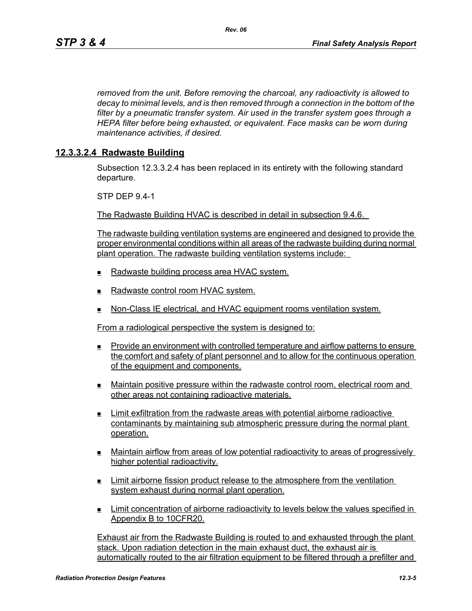*removed from the unit. Before removing the charcoal, any radioactivity is allowed to decay to minimal levels, and is then removed through a connection in the bottom of the filter by a pneumatic transfer system. Air used in the transfer system goes through a HEPA filter before being exhausted, or equivalent. Face masks can be worn during maintenance activities, if desired.*

#### **12.3.3.2.4 Radwaste Building**

Subsection 12.3.3.2.4 has been replaced in its entirety with the following standard departure.

STP DEP 9.4-1

The Radwaste Building HVAC is described in detail in subsection 9.4.6.

The radwaste building ventilation systems are engineered and designed to provide the proper environmental conditions within all areas of the radwaste building during normal plant operation. The radwaste building ventilation systems include:

- Radwaste building process area HVAC system.
- $\blacksquare$  Radwaste control room HVAC system.
- **Non-Class IE electrical, and HVAC equipment rooms ventilation system.**

From a radiological perspective the system is designed to:

- Provide an environment with controlled temperature and airflow patterns to ensure the comfort and safety of plant personnel and to allow for the continuous operation of the equipment and components.
- Maintain positive pressure within the radwaste control room, electrical room and other areas not containing radioactive materials.
- Limit exfiltration from the radwaste areas with potential airborne radioactive contaminants by maintaining sub atmospheric pressure during the normal plant operation.
- Maintain airflow from areas of low potential radioactivity to areas of progressively higher potential radioactivity.
- **Limit airborne fission product release to the atmosphere from the ventilation** system exhaust during normal plant operation.
- Limit concentration of airborne radioactivity to levels below the values specified in Appendix B to 10CFR20.

Exhaust air from the Radwaste Building is routed to and exhausted through the plant stack. Upon radiation detection in the main exhaust duct, the exhaust air is automatically routed to the air filtration equipment to be filtered through a prefilter and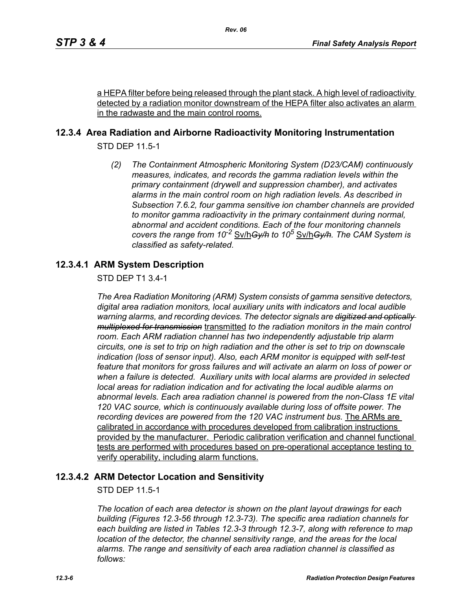a HEPA filter before being released through the plant stack. A high level of radioactivity detected by a radiation monitor downstream of the HEPA filter also activates an alarm in the radwaste and the main control rooms.

## **12.3.4 Area Radiation and Airborne Radioactivity Monitoring Instrumentation**

STD DEP 11.5-1

*(2) The Containment Atmospheric Monitoring System (D23/CAM) continuously measures, indicates, and records the gamma radiation levels within the primary containment (drywell and suppression chamber), and activates alarms in the main control room on high radiation levels. As described in Subsection 7.6.2, four gamma sensitive ion chamber channels are provided to monitor gamma radioactivity in the primary containment during normal, abnormal and accident conditions. Each of the four monitoring channels covers the range from 10-2* Sv/h*Gy/h to 10<sup>5</sup>* Sv/h*Gy/h. The CAM System is classified as safety-related.*

## **12.3.4.1 ARM System Description**

STD DEP T1 3.4-1

*The Area Radiation Monitoring (ARM) System consists of gamma sensitive detectors, digital area radiation monitors, local auxiliary units with indicators and local audible warning alarms, and recording devices. The detector signals are digitized and optically multiplexed for transmission* transmitted *to the radiation monitors in the main control room. Each ARM radiation channel has two independently adjustable trip alarm circuits, one is set to trip on high radiation and the other is set to trip on downscale indication (loss of sensor input). Also, each ARM monitor is equipped with self-test feature that monitors for gross failures and will activate an alarm on loss of power or when a failure is detected. Auxiliary units with local alarms are provided in selected local areas for radiation indication and for activating the local audible alarms on abnormal levels. Each area radiation channel is powered from the non-Class 1E vital 120 VAC source, which is continuously available during loss of offsite power. The recording devices are powered from the 120 VAC instrument bus.* The ARMs are calibrated in accordance with procedures developed from calibration instructions provided by the manufacturer. Periodic calibration verification and channel functional tests are performed with procedures based on pre-operational acceptance testing to verify operability, including alarm functions.

## **12.3.4.2 ARM Detector Location and Sensitivity**

STD DEP 11.5-1

*The location of each area detector is shown on the plant layout drawings for each building (Figures 12.3-56 through 12.3-73). The specific area radiation channels for each building are listed in Tables 12.3-3 through 12.3-7, along with reference to map location of the detector, the channel sensitivity range, and the areas for the local alarms. The range and sensitivity of each area radiation channel is classified as follows:*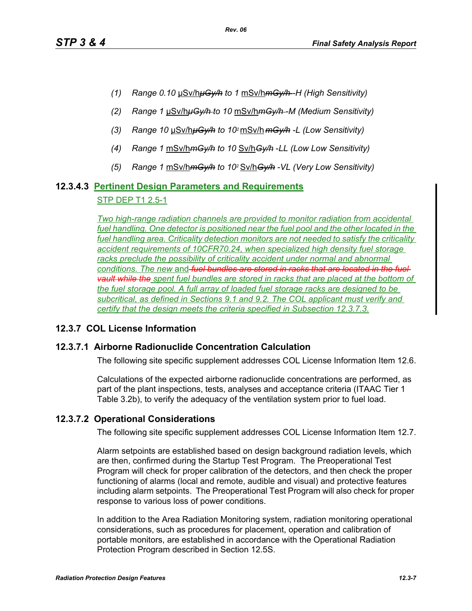- *(1) Range 0.10* μSv/h*μGy/h to 1* mSv/h*mGy/h -H (High Sensitivity)*
- *(2) Range 1* μSv/h*μGy/h to 10* mSv/h*mGy/h -M (Medium Sensitivity)*
- *(3) Range 10* μSv/h*μGy/h to 102* mSv/h *mGy/h -L (Low Sensitivity)*
- *(4) Range 1* mSv/h*mGy/h to 10* Sv/h*Gy/h* -*LL (Low Low Sensitivity)*
- *(5) Range 1* mSv/h*mGy/h to 102* Sv/h*Gy/h -VL (Very Low Sensitivity)*

# **12.3.4.3 Pertinent Design Parameters and Requirements**

#### STP DEP T1 2.5-1

*Two high-range radiation channels are provided to monitor radiation from accidental*  fuel handling. One detector is positioned near the fuel pool and the other located in the *fuel handling area. Criticality detection monitors are not needed to satisfy the criticality accident requirements of 10CFR70.24, when specialized high density fuel storage*  racks preclude the possibility of criticality accident under normal and abnormal *conditions. The new* and *fuel bundles are stored in racks that are located in the fuel vault while the spent fuel bundles are stored in racks that are placed at the bottom of the fuel storage pool. A full array of loaded fuel storage racks are designed to be subcritical, as defined in Sections 9.1 and 9.2. The COL applicant must verify and certify that the design meets the criteria specified in Subsection 12.3.7.3.*

## **12.3.7 COL License Information**

## **12.3.7.1 Airborne Radionuclide Concentration Calculation**

The following site specific supplement addresses COL License Information Item 12.6.

Calculations of the expected airborne radionuclide concentrations are performed, as part of the plant inspections, tests, analyses and acceptance criteria (ITAAC Tier 1 Table 3.2b), to verify the adequacy of the ventilation system prior to fuel load.

## **12.3.7.2 Operational Considerations**

The following site specific supplement addresses COL License Information Item 12.7.

Alarm setpoints are established based on design background radiation levels, which are then, confirmed during the Startup Test Program. The Preoperational Test Program will check for proper calibration of the detectors, and then check the proper functioning of alarms (local and remote, audible and visual) and protective features including alarm setpoints. The Preoperational Test Program will also check for proper response to various loss of power conditions.

In addition to the Area Radiation Monitoring system, radiation monitoring operational considerations, such as procedures for placement, operation and calibration of portable monitors, are established in accordance with the Operational Radiation Protection Program described in Section 12.5S.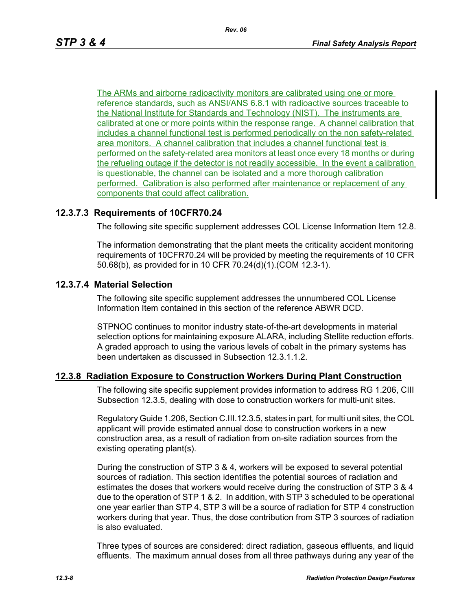The ARMs and airborne radioactivity monitors are calibrated using one or more reference standards, such as ANSI/ANS 6.8.1 with radioactive sources traceable to the National Institute for Standards and Technology (NIST). The instruments are calibrated at one or more points within the response range. A channel calibration that includes a channel functional test is performed periodically on the non safety-related area monitors. A channel calibration that includes a channel functional test is performed on the safety-related area monitors at least once every 18 months or during the refueling outage if the detector is not readily accessible. In the event a calibration is questionable, the channel can be isolated and a more thorough calibration performed. Calibration is also performed after maintenance or replacement of any components that could affect calibration.

## **12.3.7.3 Requirements of 10CFR70.24**

The following site specific supplement addresses COL License Information Item 12.8.

The information demonstrating that the plant meets the criticality accident monitoring requirements of 10CFR70.24 will be provided by meeting the requirements of 10 CFR 50.68(b), as provided for in 10 CFR 70.24(d)(1).(COM 12.3-1).

## **12.3.7.4 Material Selection**

The following site specific supplement addresses the unnumbered COL License Information Item contained in this section of the reference ABWR DCD.

STPNOC continues to monitor industry state-of-the-art developments in material selection options for maintaining exposure ALARA, including Stellite reduction efforts. A graded approach to using the various levels of cobalt in the primary systems has been undertaken as discussed in Subsection 12.3.1.1.2.

#### **12.3.8 Radiation Exposure to Construction Workers During Plant Construction**

The following site specific supplement provides information to address RG 1.206, CIII Subsection 12.3.5, dealing with dose to construction workers for multi-unit sites.

Regulatory Guide 1.206, Section C.III.12.3.5, states in part, for multi unit sites, the COL applicant will provide estimated annual dose to construction workers in a new construction area, as a result of radiation from on-site radiation sources from the existing operating plant(s).

During the construction of STP 3 & 4, workers will be exposed to several potential sources of radiation. This section identifies the potential sources of radiation and estimates the doses that workers would receive during the construction of STP 3 & 4 due to the operation of STP 1 & 2. In addition, with STP 3 scheduled to be operational one year earlier than STP 4, STP 3 will be a source of radiation for STP 4 construction workers during that year. Thus, the dose contribution from STP 3 sources of radiation is also evaluated.

Three types of sources are considered: direct radiation, gaseous effluents, and liquid effluents. The maximum annual doses from all three pathways during any year of the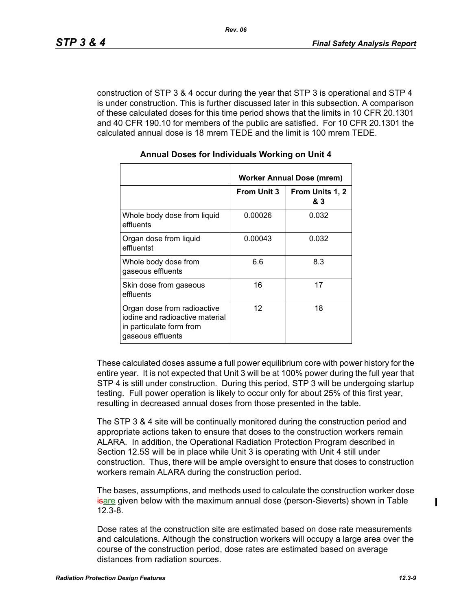construction of STP 3 & 4 occur during the year that STP 3 is operational and STP 4 is under construction. This is further discussed later in this subsection. A comparison of these calculated doses for this time period shows that the limits in 10 CFR 20.1301 and 40 CFR 190.10 for members of the public are satisfied. For 10 CFR 20.1301 the calculated annual dose is 18 mrem TEDE and the limit is 100 mrem TEDE.

|                                                                                                                 | Worker Annual Dose (mrem) |                        |  |
|-----------------------------------------------------------------------------------------------------------------|---------------------------|------------------------|--|
|                                                                                                                 | <b>From Unit 3</b>        | From Units 1, 2<br>& 3 |  |
| Whole body dose from liquid<br>effluents                                                                        | 0.00026                   | 0.032                  |  |
| Organ dose from liquid<br>effluentst                                                                            | 0.00043                   | 0.032                  |  |
| Whole body dose from<br>gaseous effluents                                                                       | 6.6                       | 8.3                    |  |
| Skin dose from gaseous<br>effluents                                                                             | 16                        | 17                     |  |
| Organ dose from radioactive<br>iodine and radioactive material<br>in particulate form from<br>gaseous effluents | 12                        | 18                     |  |

#### **Annual Doses for Individuals Working on Unit 4**

These calculated doses assume a full power equilibrium core with power history for the entire year. It is not expected that Unit 3 will be at 100% power during the full year that STP 4 is still under construction. During this period, STP 3 will be undergoing startup testing. Full power operation is likely to occur only for about 25% of this first year, resulting in decreased annual doses from those presented in the table.

The STP 3 & 4 site will be continually monitored during the construction period and appropriate actions taken to ensure that doses to the construction workers remain ALARA. In addition, the Operational Radiation Protection Program described in Section 12.5S will be in place while Unit 3 is operating with Unit 4 still under construction. Thus, there will be ample oversight to ensure that doses to construction workers remain ALARA during the construction period.

The bases, assumptions, and methods used to calculate the construction worker dose isare given below with the maximum annual dose (person-Sieverts) shown in Table 12.3-8.

Dose rates at the construction site are estimated based on dose rate measurements and calculations. Although the construction workers will occupy a large area over the course of the construction period, dose rates are estimated based on average distances from radiation sources.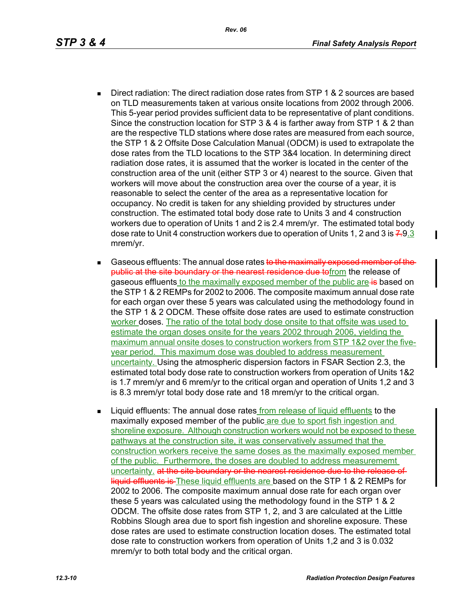- Direct radiation: The direct radiation dose rates from STP 1 & 2 sources are based on TLD measurements taken at various onsite locations from 2002 through 2006. This 5-year period provides sufficient data to be representative of plant conditions. Since the construction location for STP 3 & 4 is farther away from STP 1 & 2 than are the respective TLD stations where dose rates are measured from each source, the STP 1 & 2 Offsite Dose Calculation Manual (ODCM) is used to extrapolate the dose rates from the TLD locations to the STP 3&4 location. In determining direct radiation dose rates, it is assumed that the worker is located in the center of the construction area of the unit (either STP 3 or 4) nearest to the source. Given that workers will move about the construction area over the course of a year, it is reasonable to select the center of the area as a representative location for occupancy. No credit is taken for any shielding provided by structures under construction. The estimated total body dose rate to Units 3 and 4 construction workers due to operation of Units 1 and 2 is 2.4 mrem/yr. The estimated total body dose rate to Unit 4 construction workers due to operation of Units 1, 2 and 3 is  $7.9.3$ mrem/yr.
- Gaseous effluents: The annual dose rates to the maximally exposed member of the public at the site boundary or the nearest residence due tofrom the release of gaseous effluents to the maximally exposed member of the public are is based on the STP 1 & 2 REMPs for 2002 to 2006. The composite maximum annual dose rate for each organ over these 5 years was calculated using the methodology found in the STP 1 & 2 ODCM. These offsite dose rates are used to estimate construction worker doses. The ratio of the total body dose onsite to that offsite was used to estimate the organ doses onsite for the years 2002 through 2006, yielding the maximum annual onsite doses to construction workers from STP 1&2 over the fiveyear period. This maximum dose was doubled to address measurement uncertainty. Using the atmospheric dispersion factors in FSAR Section 2.3, the estimated total body dose rate to construction workers from operation of Units 1&2 is 1.7 mrem/yr and 6 mrem/yr to the critical organ and operation of Units 1,2 and 3 is 8.3 mrem/yr total body dose rate and 18 mrem/yr to the critical organ.
- **EXECT** Liquid effluents: The annual dose rates from release of liquid effluents to the maximally exposed member of the public are due to sport fish ingestion and shoreline exposure. Although construction workers would not be exposed to these pathways at the construction site, it was conservatively assumed that the construction workers receive the same doses as the maximally exposed member of the public. Furthermore, the doses are doubled to address measurememt uncertainty, at the site boundary or the nearest residence due to the release of liquid effluents is These liquid effluents are based on the STP 1 & 2 REMPs for 2002 to 2006. The composite maximum annual dose rate for each organ over these 5 years was calculated using the methodology found in the STP 1 & 2 ODCM. The offsite dose rates from STP 1, 2, and 3 are calculated at the Little Robbins Slough area due to sport fish ingestion and shoreline exposure. These dose rates are used to estimate construction location doses. The estimated total dose rate to construction workers from operation of Units 1,2 and 3 is 0.032 mrem/yr to both total body and the critical organ.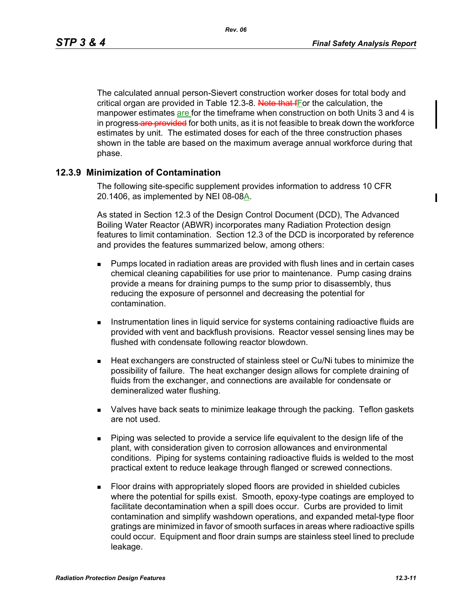The calculated annual person-Sievert construction worker doses for total body and critical organ are provided in Table 12.3-8. Note that fFor the calculation, the manpower estimates are for the timeframe when construction on both Units 3 and 4 is in progress-are provided for both units, as it is not feasible to break down the workforce estimates by unit. The estimated doses for each of the three construction phases shown in the table are based on the maximum average annual workforce during that phase.

#### **12.3.9 Minimization of Contamination**

The following site-specific supplement provides information to address 10 CFR 20.1406, as implemented by NEI 08-08A.

As stated in Section 12.3 of the Design Control Document (DCD), The Advanced Boiling Water Reactor (ABWR) incorporates many Radiation Protection design features to limit contamination. Section 12.3 of the DCD is incorporated by reference and provides the features summarized below, among others:

- **Pumps located in radiation areas are provided with flush lines and in certain cases** chemical cleaning capabilities for use prior to maintenance. Pump casing drains provide a means for draining pumps to the sump prior to disassembly, thus reducing the exposure of personnel and decreasing the potential for contamination.
- **Instrumentation lines in liquid service for systems containing radioactive fluids are** provided with vent and backflush provisions. Reactor vessel sensing lines may be flushed with condensate following reactor blowdown.
- Heat exchangers are constructed of stainless steel or Cu/Ni tubes to minimize the possibility of failure. The heat exchanger design allows for complete draining of fluids from the exchanger, and connections are available for condensate or demineralized water flushing.
- Valves have back seats to minimize leakage through the packing. Teflon gaskets are not used.
- Piping was selected to provide a service life equivalent to the design life of the plant, with consideration given to corrosion allowances and environmental conditions. Piping for systems containing radioactive fluids is welded to the most practical extent to reduce leakage through flanged or screwed connections.
- Floor drains with appropriately sloped floors are provided in shielded cubicles where the potential for spills exist. Smooth, epoxy-type coatings are employed to facilitate decontamination when a spill does occur. Curbs are provided to limit contamination and simplify washdown operations, and expanded metal-type floor gratings are minimized in favor of smooth surfaces in areas where radioactive spills could occur. Equipment and floor drain sumps are stainless steel lined to preclude leakage.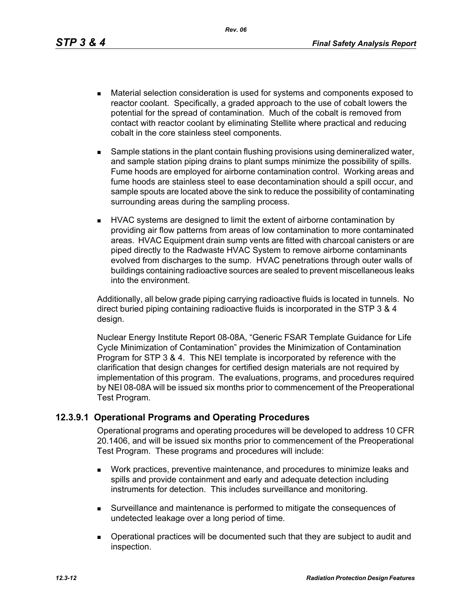*Rev. 06*

- Material selection consideration is used for systems and components exposed to reactor coolant. Specifically, a graded approach to the use of cobalt lowers the potential for the spread of contamination. Much of the cobalt is removed from contact with reactor coolant by eliminating Stellite where practical and reducing cobalt in the core stainless steel components.
- **Sample stations in the plant contain flushing provisions using demineralized water,** and sample station piping drains to plant sumps minimize the possibility of spills. Fume hoods are employed for airborne contamination control. Working areas and fume hoods are stainless steel to ease decontamination should a spill occur, and sample spouts are located above the sink to reduce the possibility of contaminating surrounding areas during the sampling process.
- HVAC systems are designed to limit the extent of airborne contamination by providing air flow patterns from areas of low contamination to more contaminated areas. HVAC Equipment drain sump vents are fitted with charcoal canisters or are piped directly to the Radwaste HVAC System to remove airborne contaminants evolved from discharges to the sump. HVAC penetrations through outer walls of buildings containing radioactive sources are sealed to prevent miscellaneous leaks into the environment.

Additionally, all below grade piping carrying radioactive fluids is located in tunnels. No direct buried piping containing radioactive fluids is incorporated in the STP 3 & 4 design.

Nuclear Energy Institute Report 08-08A, "Generic FSAR Template Guidance for Life Cycle Minimization of Contamination" provides the Minimization of Contamination Program for STP 3 & 4. This NEI template is incorporated by reference with the clarification that design changes for certified design materials are not required by implementation of this program. The evaluations, programs, and procedures required by NEI 08-08A will be issued six months prior to commencement of the Preoperational Test Program.

## **12.3.9.1 Operational Programs and Operating Procedures**

Operational programs and operating procedures will be developed to address 10 CFR 20.1406, and will be issued six months prior to commencement of the Preoperational Test Program. These programs and procedures will include:

- Work practices, preventive maintenance, and procedures to minimize leaks and spills and provide containment and early and adequate detection including instruments for detection. This includes surveillance and monitoring.
- Surveillance and maintenance is performed to mitigate the consequences of undetected leakage over a long period of time.
- Operational practices will be documented such that they are subject to audit and inspection.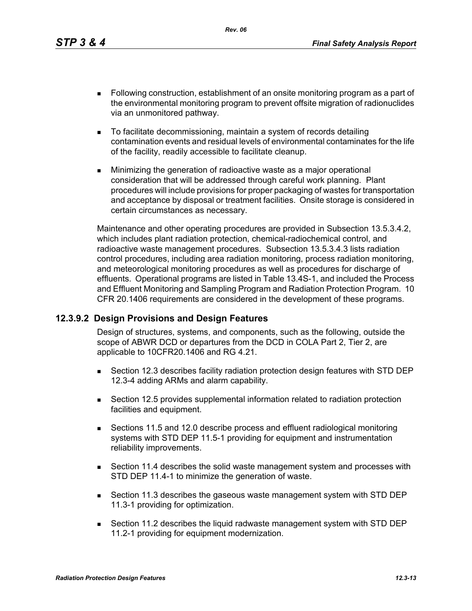*Rev. 06*

- Following construction, establishment of an onsite monitoring program as a part of the environmental monitoring program to prevent offsite migration of radionuclides via an unmonitored pathway.
- To facilitate decommissioning, maintain a system of records detailing contamination events and residual levels of environmental contaminates for the life of the facility, readily accessible to facilitate cleanup.
- **Minimizing the generation of radioactive waste as a major operational** consideration that will be addressed through careful work planning. Plant procedures will include provisions for proper packaging of wastes for transportation and acceptance by disposal or treatment facilities. Onsite storage is considered in certain circumstances as necessary.

Maintenance and other operating procedures are provided in Subsection 13.5.3.4.2, which includes plant radiation protection, chemical-radiochemical control, and radioactive waste management procedures. Subsection 13.5.3.4.3 lists radiation control procedures, including area radiation monitoring, process radiation monitoring, and meteorological monitoring procedures as well as procedures for discharge of effluents. Operational programs are listed in Table 13.4S-1, and included the Process and Effluent Monitoring and Sampling Program and Radiation Protection Program. 10 CFR 20.1406 requirements are considered in the development of these programs.

## **12.3.9.2 Design Provisions and Design Features**

Design of structures, systems, and components, such as the following, outside the scope of ABWR DCD or departures from the DCD in COLA Part 2, Tier 2, are applicable to 10CFR20.1406 and RG 4.21.

- Section 12.3 describes facility radiation protection design features with STD DEP 12.3-4 adding ARMs and alarm capability.
- Section 12.5 provides supplemental information related to radiation protection facilities and equipment.
- Sections 11.5 and 12.0 describe process and effluent radiological monitoring systems with STD DEP 11.5-1 providing for equipment and instrumentation reliability improvements.
- Section 11.4 describes the solid waste management system and processes with STD DEP 11.4-1 to minimize the generation of waste.
- Section 11.3 describes the gaseous waste management system with STD DEP 11.3-1 providing for optimization.
- Section 11.2 describes the liquid radwaste management system with STD DEP 11.2-1 providing for equipment modernization.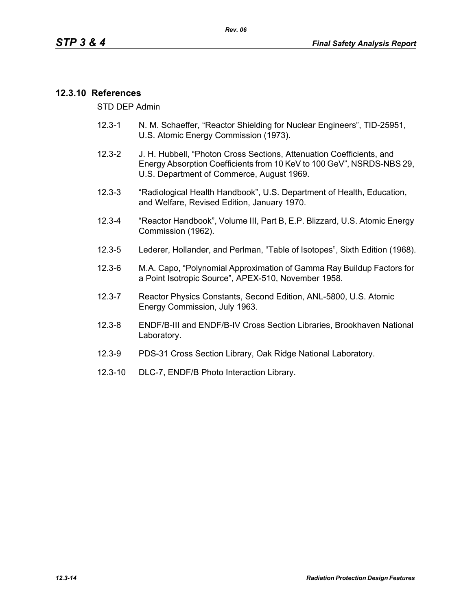## **12.3.10 References**

STD DEP Admin

- 12.3-1 N. M. Schaeffer, "Reactor Shielding for Nuclear Engineers", TID-25951, U.S. Atomic Energy Commission (1973).
- 12.3-2 J. H. Hubbell, "Photon Cross Sections, Attenuation Coefficients, and Energy Absorption Coefficients from 10 KeV to 100 GeV", NSRDS-NBS 29, U.S. Department of Commerce, August 1969.
- 12.3-3 "Radiological Health Handbook", U.S. Department of Health, Education, and Welfare, Revised Edition, January 1970.
- 12.3-4 "Reactor Handbook", Volume III, Part B, E.P. Blizzard, U.S. Atomic Energy Commission (1962).
- 12.3-5 Lederer, Hollander, and Perlman, "Table of Isotopes", Sixth Edition (1968).
- 12.3-6 M.A. Capo, "Polynomial Approximation of Gamma Ray Buildup Factors for a Point Isotropic Source", APEX-510, November 1958.
- 12.3-7 Reactor Physics Constants, Second Edition, ANL-5800, U.S. Atomic Energy Commission, July 1963.
- 12.3-8 ENDF/B-III and ENDF/B-IV Cross Section Libraries, Brookhaven National Laboratory.
- 12.3-9 PDS-31 Cross Section Library, Oak Ridge National Laboratory.
- 12.3-10 DLC-7, ENDF/B Photo Interaction Library.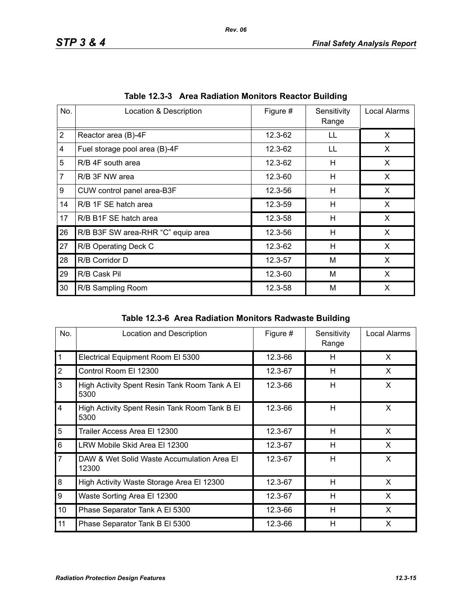| No.            | Location & Description             | Figure # | Sensitivity<br>Range | Local Alarms |
|----------------|------------------------------------|----------|----------------------|--------------|
| $\overline{2}$ | Reactor area (B)-4F                | 12.3-62  | LL                   | X            |
| 4              | Fuel storage pool area (B)-4F      | 12.3-62  | LL                   | X            |
| 5              | R/B 4F south area                  | 12.3-62  | н                    | X.           |
| $\overline{7}$ | R/B 3F NW area                     | 12.3-60  | H                    | X            |
| 9              | CUW control panel area-B3F         | 12.3-56  | Н                    | X            |
| 14             | R/B 1F SE hatch area               | 12.3-59  | н                    | X            |
| 17             | R/B B1F SE hatch area              | 12.3-58  | H                    | X            |
| 26             | R/B B3F SW area-RHR "C" equip area | 12.3-56  | н                    | X            |
| 27             | R/B Operating Deck C               | 12.3-62  | Н                    | X            |
| 28             | R/B Corridor D                     | 12.3-57  | M                    | X            |
| 29             | R/B Cask Pil                       | 12.3-60  | M                    | X            |
| 30             | R/B Sampling Room                  | 12.3-58  | M                    | X            |

**Table 12.3-3 Area Radiation Monitors Reactor Building**

|  |  | Table 12.3-6 Area Radiation Monitors Radwaste Building |
|--|--|--------------------------------------------------------|
|--|--|--------------------------------------------------------|

| No.                     | Location and Description                              | Figure # | Sensitivity<br>Range | Local Alarms |
|-------------------------|-------------------------------------------------------|----------|----------------------|--------------|
| $\mathbf{1}$            | Electrical Equipment Room El 5300                     | 12.3-66  | H                    | X            |
| $\overline{2}$          | Control Room El 12300                                 | 12.3-67  | H                    | X            |
| 3                       | High Activity Spent Resin Tank Room Tank A El<br>5300 | 12.3-66  | H                    | X            |
| $\overline{\mathbf{4}}$ | High Activity Spent Resin Tank Room Tank B El<br>5300 | 12.3-66  | H                    | X            |
| 5                       | Trailer Access Area El 12300                          | 12.3-67  | H                    | X            |
| 6                       | LRW Mobile Skid Area El 12300                         | 12.3-67  | H                    | X            |
| $\overline{7}$          | DAW & Wet Solid Waste Accumulation Area El<br>12300   | 12.3-67  | H                    | X            |
| 8                       | High Activity Waste Storage Area El 12300             | 12.3-67  | H                    | X            |
| 9                       | Waste Sorting Area El 12300                           | 12.3-67  | H                    | X            |
| 10                      | Phase Separator Tank A El 5300                        | 12.3-66  | H                    | X            |
| 11                      | Phase Separator Tank B El 5300                        | 12.3-66  | H                    | X            |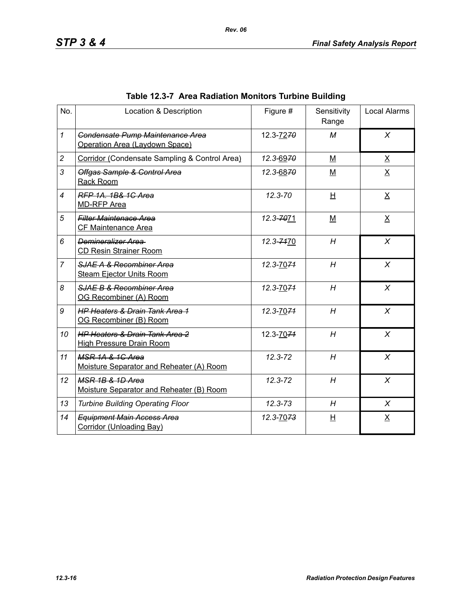| No.            | Location & Description                                                       | Figure #    | Sensitivity<br>Range | <b>Local Alarms</b> |
|----------------|------------------------------------------------------------------------------|-------------|----------------------|---------------------|
| $\mathcal I$   | Condensate Pump Maintenance Area<br>Operation Area (Laydown Space)           | 12.3-7270   | M                    | $\chi$              |
| $\overline{c}$ | Corridor (Condensate Sampling & Control Area)                                | 12.3-6970   | M                    | $\underline{X}$     |
| 3              | Offgas Sample & Control Area<br>Rack Room                                    | 12.3-6870   | M                    | $\underline{X}$     |
| $\overline{4}$ | RFP 1A, 1B& 1C Area<br><b>MD-RFP Area</b>                                    | $12.3 - 70$ | H                    | $\underline{X}$     |
| 5              | <b>Filter Maintenace Area</b><br>CF Maintenance Area                         | 12.3-7071   | $M$                  | $\underline{X}$     |
| 6              | Demineralizer Area<br><b>CD Resin Strainer Room</b>                          | 12.3-7470   | H                    | $\chi$              |
| $\overline{7}$ | SJAE A & Recombiner Area<br><b>Steam Ejector Units Room</b>                  | 12.3-7074   | H                    | $\chi$              |
| 8              | SJAE B & Recombiner Area<br>OG Recombiner (A) Room                           | 12.3-7074   | H                    | $\chi$              |
| 9              | <b>HP Heaters &amp; Drain Tank Area 1</b><br>OG Recombiner (B) Room          | 12.3-7074   | H                    | $\chi$              |
| 10             | <b>HP Heaters &amp; Drain Tank Area 2</b><br><b>High Pressure Drain Room</b> | 12.3-7074   | H                    | $\chi$              |
| 11             | MSR 1A & 1G Area<br>Moisture Separator and Reheater (A) Room                 | $12.3 - 72$ | H                    | X                   |
| 12             | MSR 1B & 1D Area<br>Moisture Separator and Reheater (B) Room                 | 12.3-72     | H                    | X                   |
| 13             | <b>Turbine Building Operating Floor</b>                                      | $12.3 - 73$ | H                    | X                   |
| 14             | <b>Equipment Main Access Area</b><br>Corridor (Unloading Bay)                | 12.3-7073   | 旦                    | $\underline{X}$     |

# **Table 12.3-7 Area Radiation Monitors Turbine Building**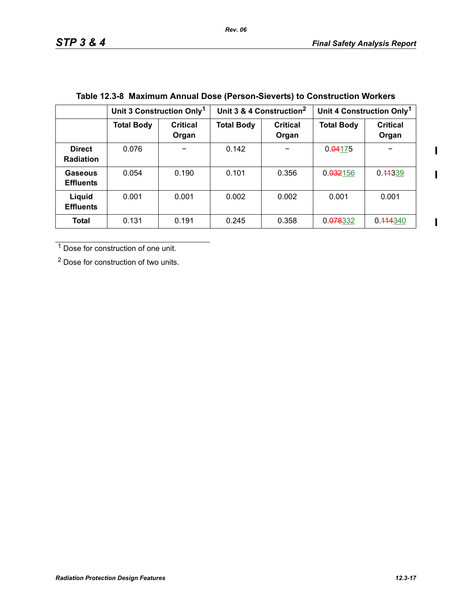$\blacksquare$ 

 $\blacksquare$ 

 $\blacksquare$ 

|                                   | Unit 3 Construction Only <sup>1</sup> |                          | Unit 3 & 4 Construction <sup>2</sup> |                          | Unit 4 Construction Only <sup>1</sup> |                          |
|-----------------------------------|---------------------------------------|--------------------------|--------------------------------------|--------------------------|---------------------------------------|--------------------------|
|                                   | <b>Total Body</b>                     | <b>Critical</b><br>Organ | <b>Total Body</b>                    | <b>Critical</b><br>Organ | <b>Total Body</b>                     | <b>Critical</b><br>Organ |
| <b>Direct</b><br><b>Radiation</b> | 0.076                                 |                          | 0.142                                |                          | 0.04175                               |                          |
| Gaseous<br><b>Effluents</b>       | 0.054                                 | 0.190                    | 0.101                                | 0.356                    | 0.032156                              | 0.44339                  |
| Liquid<br><b>Effluents</b>        | 0.001                                 | 0.001                    | 0.002                                | 0.002                    | 0.001                                 | 0.001                    |
| Total                             | 0.131                                 | 0.191                    | 0.245                                | 0.358                    | 0.078332                              | 0.444340                 |

# **Table 12.3-8 Maximum Annual Dose (Person-Sieverts) to Construction Workers**

1 Dose for construction of one unit.

2 Dose for construction of two units.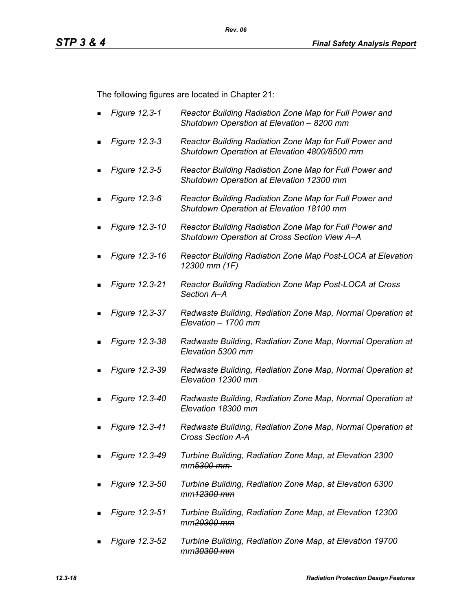The following figures are located in Chapter 21:

- *Figure 12.3-1 Reactor Building Radiation Zone Map for Full Power and Shutdown Operation at Elevation – 8200 mm*
- *Figure 12.3-3 Reactor Building Radiation Zone Map for Full Power and Shutdown Operation at Elevation 4800/8500 mm*
- *Figure 12.3-5 Reactor Building Radiation Zone Map for Full Power and Shutdown Operation at Elevation 12300 mm*
- *Figure 12.3-6 Reactor Building Radiation Zone Map for Full Power and Shutdown Operation at Elevation 18100 mm*
- *Figure 12.3-10 Reactor Building Radiation Zone Map for Full Power and Shutdown Operation at Cross Section View A–A*
- *Figure 12.3-16 Reactor Building Radiation Zone Map Post-LOCA at Elevation 12300 mm (1F)*
- *Figure 12.3-21 Reactor Building Radiation Zone Map Post-LOCA at Cross Section A–A*
- *Figure 12.3-37 Radwaste Building, Radiation Zone Map, Normal Operation at Elevation – 1700 mm*
- *Figure 12.3-38 Radwaste Building, Radiation Zone Map, Normal Operation at Elevation 5300 mm*
- *Figure 12.3-39 Radwaste Building, Radiation Zone Map, Normal Operation at Elevation 12300 mm*
- *Figure 12.3-40 Radwaste Building, Radiation Zone Map, Normal Operation at Elevation 18300 mm*
- *Figure 12.3-41 Radwaste Building, Radiation Zone Map, Normal Operation at Cross Section A-A*
- *Figure 12.3-49 Turbine Building, Radiation Zone Map, at Elevation 2300 mm5300 mm*
- *Figure 12.3-50 Turbine Building, Radiation Zone Map, at Elevation 6300 mm12300 mm*
- *Figure 12.3-51 Turbine Building, Radiation Zone Map, at Elevation 12300 mm20300 mm*
- *Figure 12.3-52 Turbine Building, Radiation Zone Map, at Elevation 19700 mm30300 mm*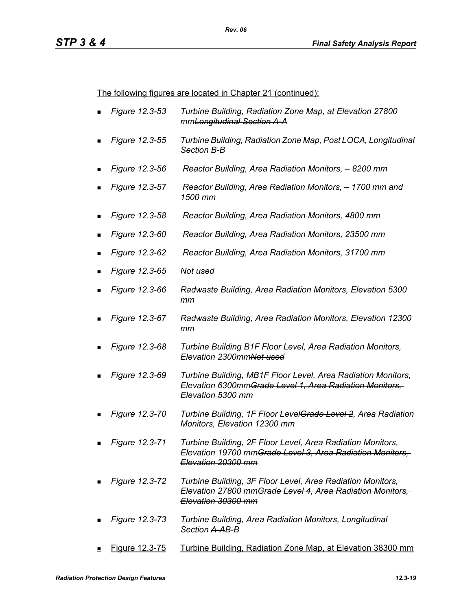The following figures are located in Chapter 21 (continued):

- *Figure 12.3-53 Turbine Building, Radiation Zone Map, at Elevation 27800 mmLongitudinal Section A-A*
- *Figure 12.3-55 Turbine Building, Radiation Zone Map, Post LOCA, Longitudinal Section B-B*
- *Figure 12.3-56 Reactor Building, Area Radiation Monitors, 8200 mm*
- *Figure 12.3-57 Reactor Building, Area Radiation Monitors, 1700 mm and 1500 mm*
- *Figure 12.3-58 Reactor Building, Area Radiation Monitors, 4800 mm*
- *Figure 12.3-60 Reactor Building, Area Radiation Monitors, 23500 mm*
- *Figure 12.3-62 Reactor Building, Area Radiation Monitors, 31700 mm*
- *Figure 12.3-65 Not used*
- *Figure 12.3-66 Radwaste Building, Area Radiation Monitors, Elevation 5300 mm*
- *Figure 12.3-67 Radwaste Building, Area Radiation Monitors, Elevation 12300 mm*
- *Figure 12.3-68 Turbine Building B1F Floor Level, Area Radiation Monitors, Elevation 2300mmNot used*
- *Figure 12.3-69 Turbine Building, MB1F Floor Level, Area Radiation Monitors, Elevation 6300mmGrade Level 1, Area Radiation Monitors, Elevation 5300 mm*
- *Figure 12.3-70 Turbine Building, 1F Floor LevelGrade Level 2, Area Radiation Monitors, Elevation 12300 mm*
- *Figure 12.3-71 Turbine Building, 2F Floor Level, Area Radiation Monitors, Elevation 19700 mmGrade Level 3, Area Radiation Monitors, Elevation 20300 mm*
- *Figure 12.3-72 Turbine Building, 3F Floor Level, Area Radiation Monitors, Elevation 27800 mmGrade Level 4, Area Radiation Monitors, Elevation 30300 mm*
- *Figure 12.3-73 Turbine Building, Area Radiation Monitors, Longitudinal Section A-AB-B*
- Figure 12.3-75 Turbine Building, Radiation Zone Map, at Elevation 38300 mm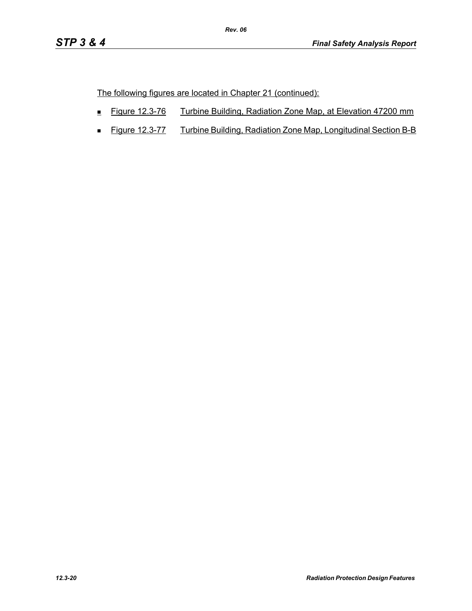The following figures are located in Chapter 21 (continued):

- Figure 12.3-76 Turbine Building, Radiation Zone Map, at Elevation 47200 mm
- **Figure 12.3-77** Turbine Building, Radiation Zone Map, Longitudinal Section B-B